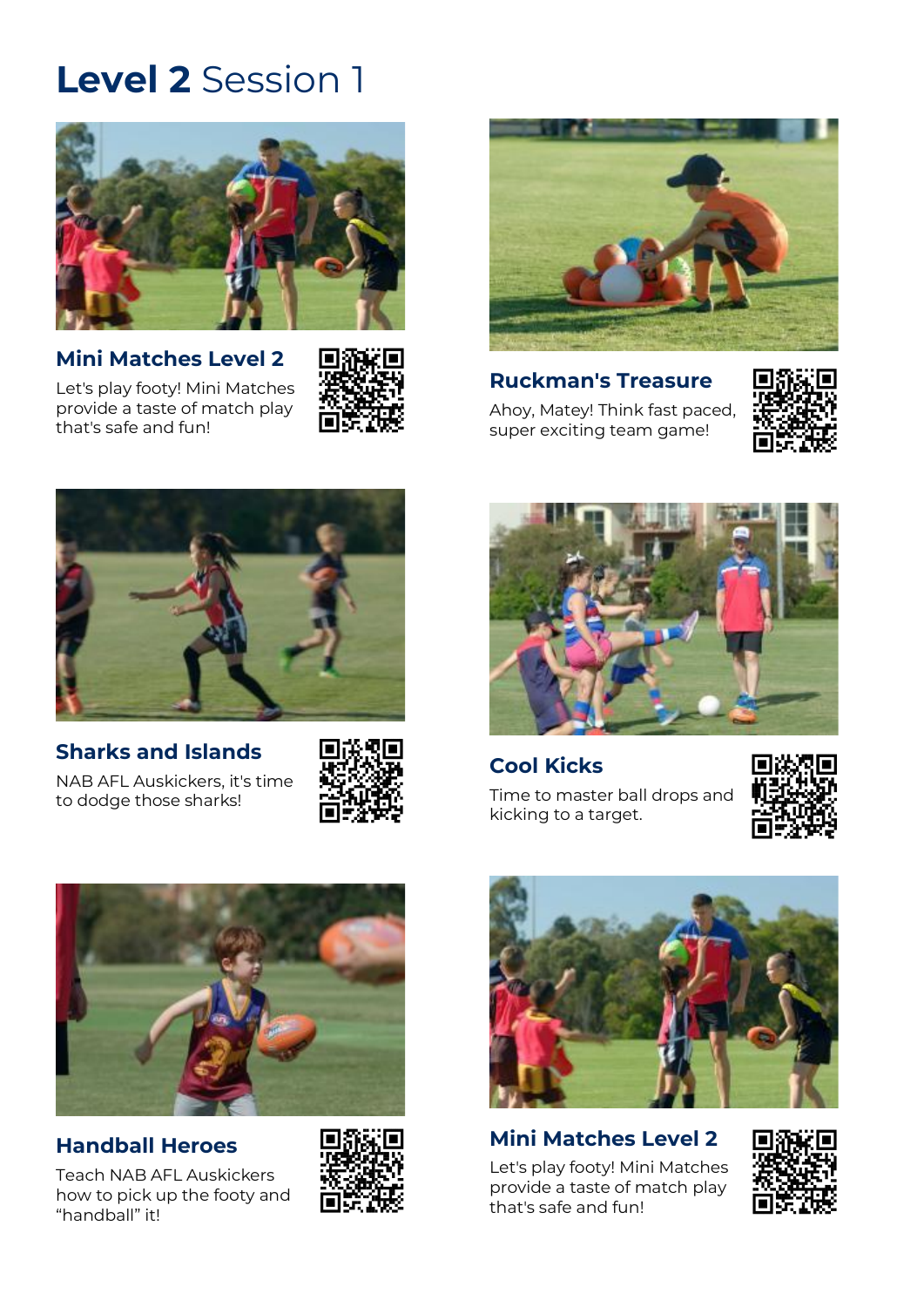

**[Mini Matches Level 2](https://play.afl/auskick/activities/mini-matches-level-2?week=1&level=2)** [Let's play footy! Mini Matches](https://play.afl/auskick/activities/mini-matches-level-2?week=1&level=2)  provide a [taste of match play](https://play.afl/auskick/activities/mini-matches-level-2?week=1&level=2) 

that's [safe and fun!](https://play.afl/auskick/activities/mini-matches-level-2?week=1&level=2)





**[Ruckman's Treasure](https://play.afl/auskick/activities/ruckmans-treasure?week=1&level=2)** [Ahoy, Matey! Think fast paced,](https://play.afl/auskick/activities/ruckmans-treasure?week=1&level=2)  [super exciting team game!](https://play.afl/auskick/activities/ruckmans-treasure?week=1&level=2)





## **[Sharks and Islands](https://play.afl/auskick/activities/sharks-and-islands?week=1&level=2)**

[NAB AFL Auskickers, it's time](https://play.afl/auskick/activities/sharks-and-islands?week=1&level=2)  [to dodge those sharks!](https://play.afl/auskick/activities/sharks-and-islands?week=1&level=2)





### **[Cool Kicks](https://play.afl/auskick/activities/cool-kicks?week=1&level=2)**

[Time to master ball drops and](https://play.afl/auskick/activities/cool-kicks?week=1&level=2)  [kicking to a target.](https://play.afl/auskick/activities/cool-kicks?week=1&level=2)





### **[Handball Heroes](https://play.afl/auskick/activities/handball-heroes?week=1&level=2)**

[Teach NAB AFL Auskickers](https://play.afl/auskick/activities/handball-heroes?week=1&level=2)  [how to pick up the footy and](https://play.afl/auskick/activities/handball-heroes?week=1&level=2)  ["handball" it!](https://play.afl/auskick/activities/handball-heroes?week=1&level=2)





## **[Mini Matches Level 2](https://play.afl/auskick/activities/mini-matches-level-2?week=1&level=2)**

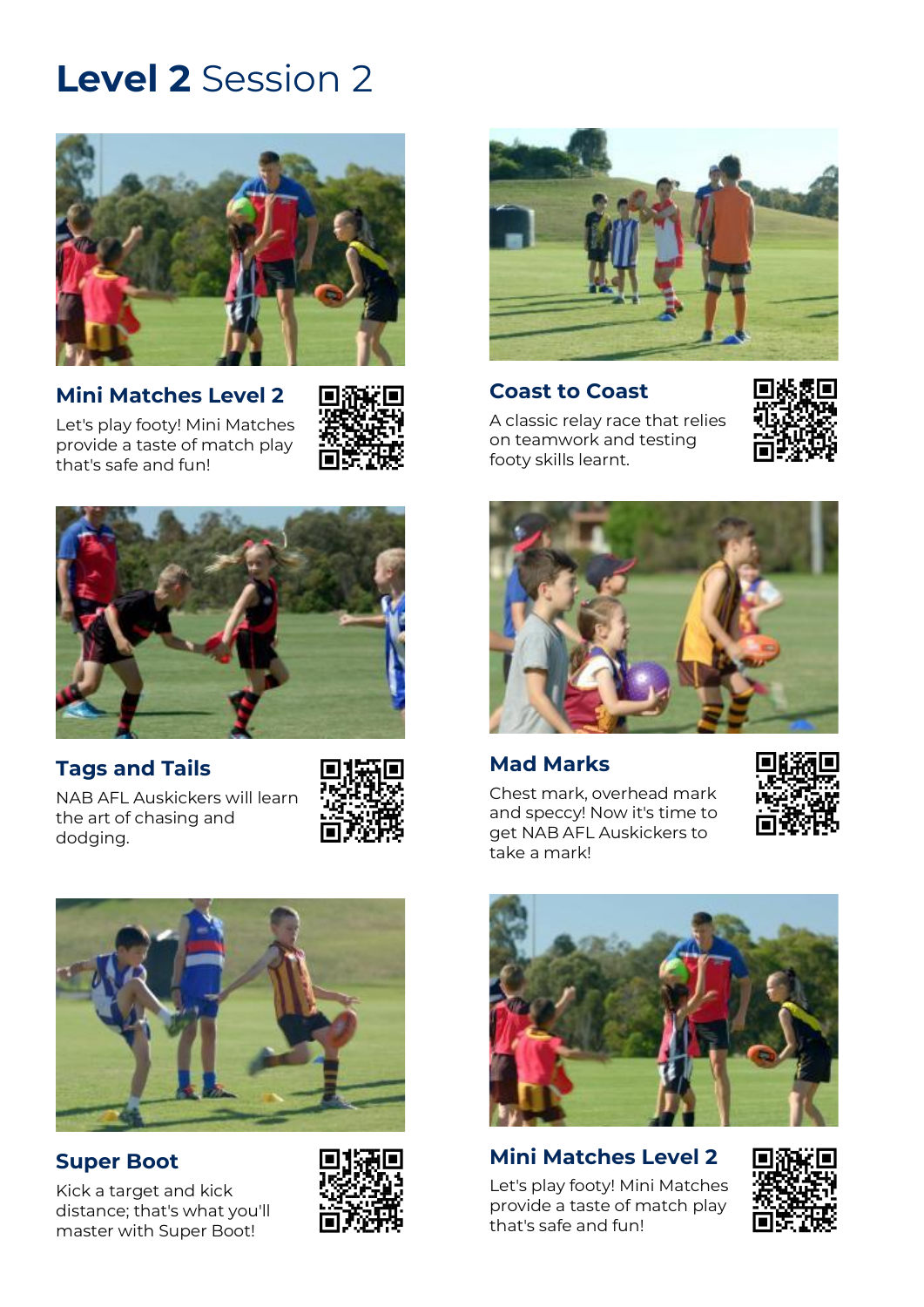

**[Mini Matches Level 2](https://play.afl/auskick/activities/mini-matches-level-2?week=2&level=2)** [Let's play footy! Mini Matches](https://play.afl/auskick/activities/mini-matches-level-2?week=2&level=2) 

provide a [taste of match play](https://play.afl/auskick/activities/mini-matches-level-2?week=2&level=2) 

that's [safe and fun!](https://play.afl/auskick/activities/mini-matches-level-2?week=2&level=2)





### **[Tags and Tails](https://play.afl/auskick/activities/tags-and-tails?week=2&level=2)**

[NAB AFL Auskickers will learn](https://play.afl/auskick/activities/tags-and-tails?week=2&level=2)  [the art of chasing and](https://play.afl/auskick/activities/tags-and-tails?week=2&level=2)  [dodging.](https://play.afl/auskick/activities/tags-and-tails?week=2&level=2)





## **[Super Boot](https://play.afl/auskick/activities/super-boot?week=2&level=2)**

[Kick a target and kick](https://play.afl/auskick/activities/super-boot?week=2&level=2)  [distance; that's what you'll](https://play.afl/auskick/activities/super-boot?week=2&level=2)  [master with Super Boot!](https://play.afl/auskick/activities/super-boot?week=2&level=2)





#### **[Coast to Coast](https://play.afl/auskick/activities/coast-coast?week=2&level=2)**

[A classic relay race that relies](https://play.afl/auskick/activities/coast-coast?week=2&level=2)  [on teamwork and testing](https://play.afl/auskick/activities/coast-coast?week=2&level=2)  [footy skills learnt.](https://play.afl/auskick/activities/coast-coast?week=2&level=2)





### **[Mad Marks](https://play.afl/auskick/activities/mad-marks?week=2&level=2)**

[Chest mark, overhead mark](https://play.afl/auskick/activities/mad-marks?week=2&level=2)  [and speccy! Now it's time to](https://play.afl/auskick/activities/mad-marks?week=2&level=2)  [get NAB AFL Auskickers to](https://play.afl/auskick/activities/mad-marks?week=2&level=2)  [take a mark!](https://play.afl/auskick/activities/mad-marks?week=2&level=2)





#### **[Mini Matches Level 2](https://play.afl/auskick/activities/mini-matches-level-2?week=2&level=2)** [Let's play footy! Mini Matches](https://play.afl/auskick/activities/mini-matches-level-2?week=2&level=2)

provide a [taste of match play](https://play.afl/auskick/activities/mini-matches-level-2?week=2&level=2)  that's [safe and fun!](https://play.afl/auskick/activities/mini-matches-level-2?week=2&level=2)

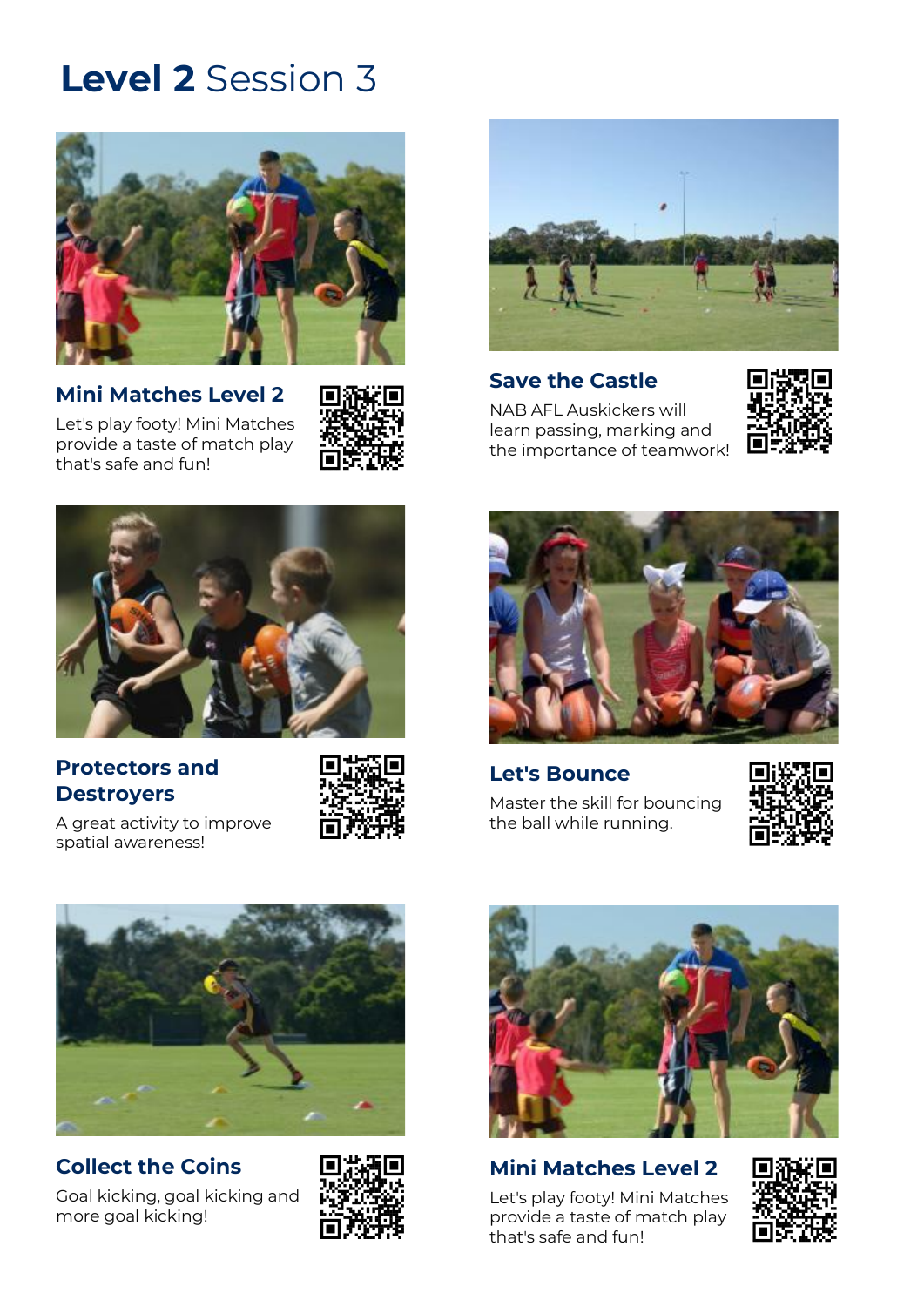

**[Mini Matches Level 2](https://play.afl/auskick/activities/mini-matches-level-2?week=3&level=2)** [Let's play footy! Mini Matches](https://play.afl/auskick/activities/mini-matches-level-2?week=3&level=2)  provide a [taste of match play](https://play.afl/auskick/activities/mini-matches-level-2?week=3&level=2) 

that's [safe and fun!](https://play.afl/auskick/activities/mini-matches-level-2?week=3&level=2)





#### **[Save the Castle](https://play.afl/auskick/activities/save-castle?week=3&level=2)**

[NAB AFL Auskickers will](https://play.afl/auskick/activities/save-castle?week=3&level=2)  [learn passing, marking and](https://play.afl/auskick/activities/save-castle?week=3&level=2)  [the importance of teamwork!](https://play.afl/auskick/activities/save-castle?week=3&level=2)





### **[Protectors and](https://play.afl/auskick/activities/protectors-and-destroyers?week=3&level=2)  [Destroyers](https://play.afl/auskick/activities/protectors-and-destroyers?week=3&level=2)**

[spatial awareness!](https://play.afl/auskick/activities/protectors-and-destroyers?week=3&level=2)

[A great activity to improve](https://play.afl/auskick/activities/protectors-and-destroyers?week=3&level=2) 



**[Let's Bounce](https://play.afl/auskick/activities/lets-bounce?week=3&level=2)** [Master the skill for bouncing](https://play.afl/auskick/activities/lets-bounce?week=3&level=2)  [the ball while running.](https://play.afl/auskick/activities/lets-bounce?week=3&level=2)





## **[Collect the Coins](https://play.afl/auskick/activities/collect-coins?week=3&level=2)**

[Goal kicking, goal kicking and](https://play.afl/auskick/activities/collect-coins?week=3&level=2)  [more goal kicking!](https://play.afl/auskick/activities/collect-coins?week=3&level=2)





### **[Mini Matches Level 2](https://play.afl/auskick/activities/mini-matches-level-2?week=3&level=2)**

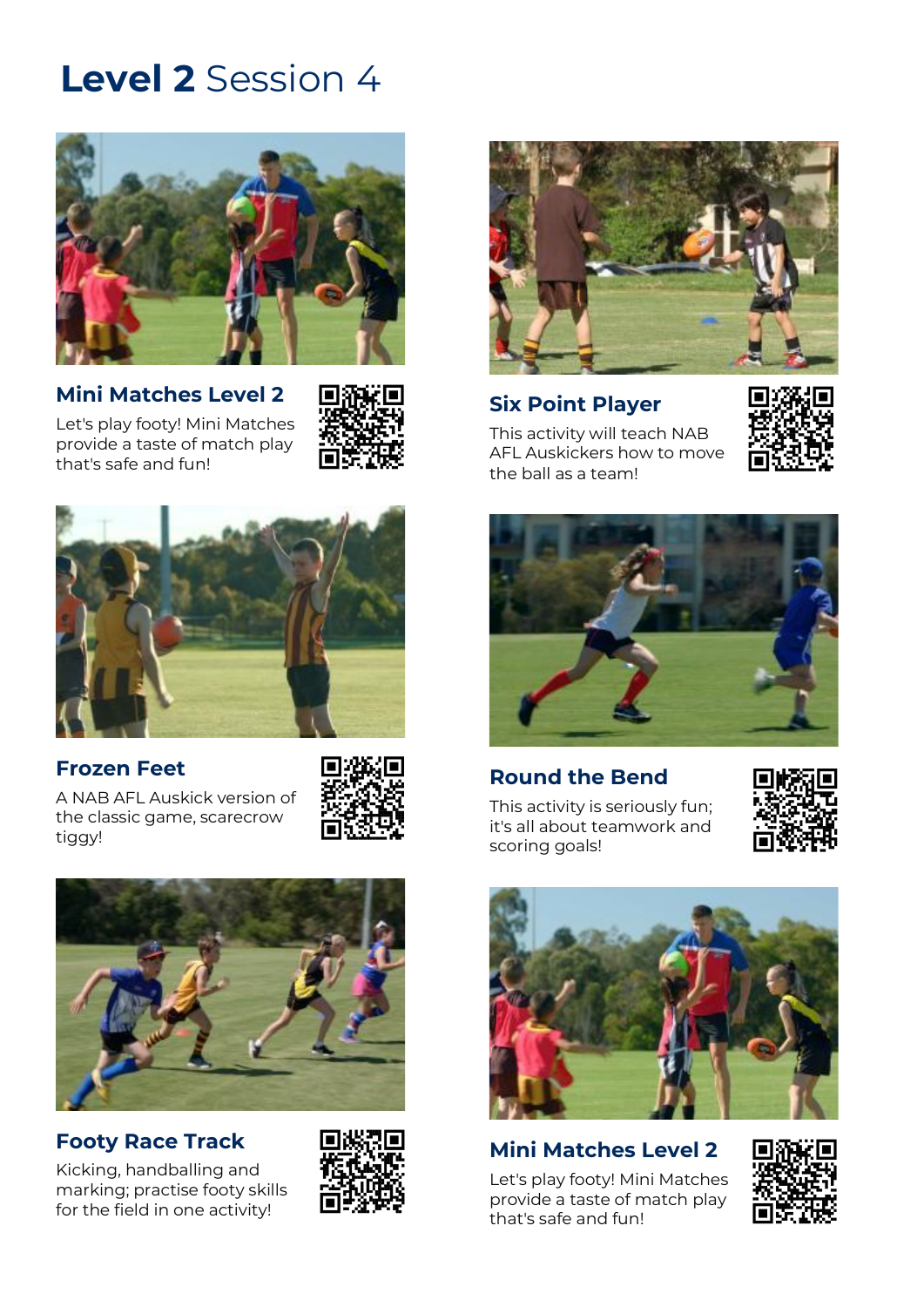

**[Mini Matches Level 2](https://play.afl/auskick/activities/mini-matches-level-2?week=4&level=2)** [Let's play footy! Mini Matches](https://play.afl/auskick/activities/mini-matches-level-2?week=4&level=2) 

provide a [taste of match play](https://play.afl/auskick/activities/mini-matches-level-2?week=4&level=2) 

that's [safe and fun!](https://play.afl/auskick/activities/mini-matches-level-2?week=4&level=2)





### **[Frozen Feet](https://play.afl/auskick/activities/frozen-feet?week=4&level=2)**

[A NAB AFL Auskick version of](https://play.afl/auskick/activities/frozen-feet?week=4&level=2)  [the classic game, scarecrow](https://play.afl/auskick/activities/frozen-feet?week=4&level=2)  [tiggy!](https://play.afl/auskick/activities/frozen-feet?week=4&level=2)





## **[Footy Race Track](https://play.afl/auskick/activities/footy-race-track?week=4&level=2)**

[Kicking, handballing and](https://play.afl/auskick/activities/footy-race-track?week=4&level=2)  [marking; practise footy skills](https://play.afl/auskick/activities/footy-race-track?week=4&level=2)  [for the field in one activity!](https://play.afl/auskick/activities/footy-race-track?week=4&level=2)





## **[Six Point Player](https://play.afl/auskick/activities/six-point-player?week=4&level=2)**

[This activity will teach NAB](https://play.afl/auskick/activities/six-point-player?week=4&level=2)  [AFL Auskickers how to move](https://play.afl/auskick/activities/six-point-player?week=4&level=2)  [the ball as a team!](https://play.afl/auskick/activities/six-point-player?week=4&level=2)





**[Round the Bend](https://play.afl/auskick/activities/round-bend?week=4&level=2)**

[This activity is seriously fun;](https://play.afl/auskick/activities/round-bend?week=4&level=2)  [it's all about teamwork and](https://play.afl/auskick/activities/round-bend?week=4&level=2)  [scoring goals!](https://play.afl/auskick/activities/round-bend?week=4&level=2)





## **[Mini Matches Level 2](https://play.afl/auskick/activities/mini-matches-level-2?week=4&level=2)**

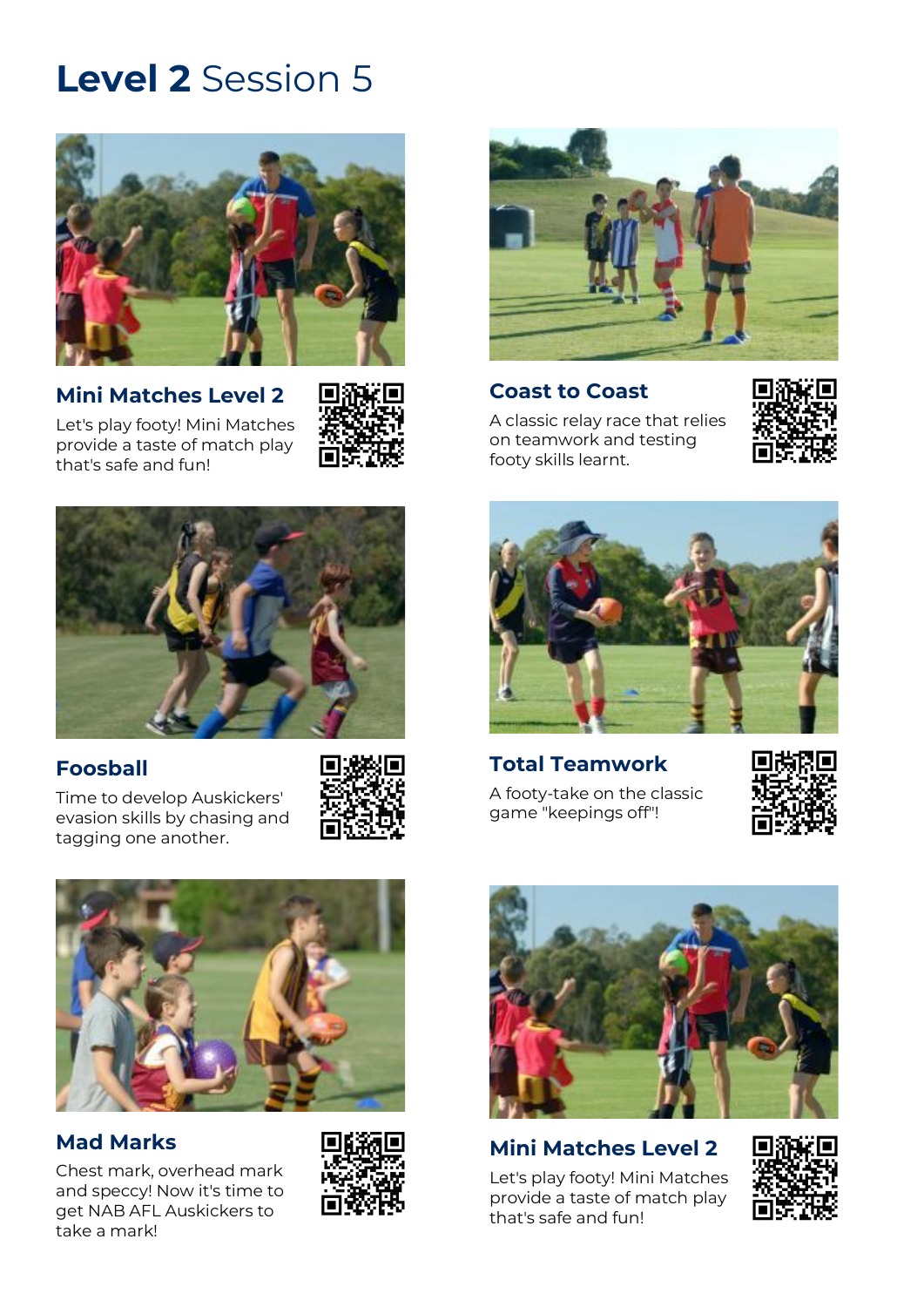

**[Mini Matches Level 2](https://play.afl/auskick/activities/mini-matches-level-2?week=5&level=2)** [Let's play footy! Mini Matches](https://play.afl/auskick/activities/mini-matches-level-2?week=5&level=2)  provide a [taste of match](https://play.afl/auskick/activities/mini-matches-level-2?week=5&level=2) play

that's [safe and fun!](https://play.afl/auskick/activities/mini-matches-level-2?week=5&level=2)





## **[Foosball](https://play.afl/auskick/activities/foosball?week=5&level=2)**

[Time to develop Auskickers'](https://play.afl/auskick/activities/foosball?week=5&level=2)  [evasion skills by chasing and](https://play.afl/auskick/activities/foosball?week=5&level=2)  [tagging one another.](https://play.afl/auskick/activities/foosball?week=5&level=2)





## **[Mad Marks](https://play.afl/auskick/activities/mad-marks?week=5&level=2)**

[Chest mark, overhead mark](https://play.afl/auskick/activities/mad-marks?week=5&level=2)  [and speccy! Now it's time to](https://play.afl/auskick/activities/mad-marks?week=5&level=2)  [get NAB AFL Auskickers to](https://play.afl/auskick/activities/mad-marks?week=5&level=2)  [take a mark!](https://play.afl/auskick/activities/mad-marks?week=5&level=2)





#### **[Coast to Coast](https://play.afl/auskick/activities/coast-coast?week=5&level=2)**

[A classic relay race that relies](https://play.afl/auskick/activities/coast-coast?week=5&level=2)  [on teamwork and testing](https://play.afl/auskick/activities/coast-coast?week=5&level=2)  [footy skills learnt.](https://play.afl/auskick/activities/coast-coast?week=5&level=2)





**[Total Teamwork](https://play.afl/auskick/activities/total-teamwork?week=5&level=2)** [A footy-take on the classic](https://play.afl/auskick/activities/total-teamwork?week=5&level=2)  [game "keepings off"!](https://play.afl/auskick/activities/total-teamwork?week=5&level=2)





## **[Mini Matches Level 2](https://play.afl/auskick/activities/mini-matches-level-2?week=5&level=2)**

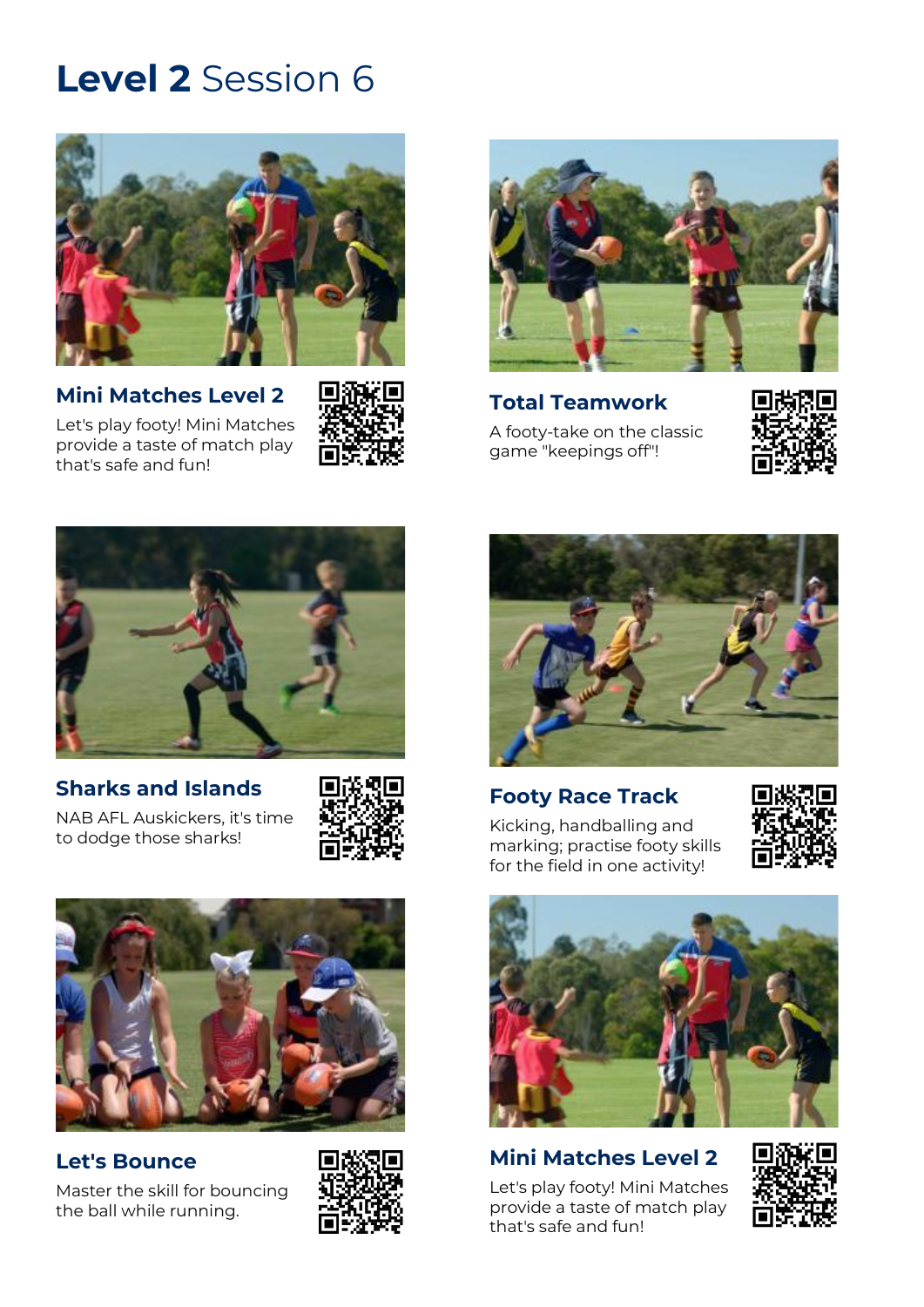

**[Mini Matches Level 2](https://play.afl/auskick/activities/mini-matches-level-2?week=6&level=2)**

[Let's play footy! Mini Matches](https://play.afl/auskick/activities/mini-matches-level-2?week=6&level=2)  provide a [taste of match play](https://play.afl/auskick/activities/mini-matches-level-2?week=6&level=2)  that's [safe and fun!](https://play.afl/auskick/activities/mini-matches-level-2?week=6&level=2)





**[Total Teamwork](https://play.afl/auskick/activities/total-teamwork?week=6&level=2)** [A footy-take on the classic](https://play.afl/auskick/activities/total-teamwork?week=6&level=2)  [game "keepings off"!](https://play.afl/auskick/activities/total-teamwork?week=6&level=2)





## **[Sharks and Islands](https://play.afl/auskick/activities/sharks-and-islands?week=6&level=2)**

[NAB AFL Auskickers, it's time](https://play.afl/auskick/activities/sharks-and-islands?week=6&level=2)  [to dodge those sharks!](https://play.afl/auskick/activities/sharks-and-islands?week=6&level=2)





### **[Let's Bounce](https://play.afl/auskick/activities/lets-bounce?week=6&level=2)**

[Master the skill for bouncing](https://play.afl/auskick/activities/lets-bounce?week=6&level=2)  [the ball while running.](https://play.afl/auskick/activities/lets-bounce?week=6&level=2)





## **[Footy Race Track](https://play.afl/auskick/activities/footy-race-track?week=6&level=2)**

[Kicking, handballing and](https://play.afl/auskick/activities/footy-race-track?week=6&level=2)  [marking; practise footy skills](https://play.afl/auskick/activities/footy-race-track?week=6&level=2)  for [the field in one activity!](https://play.afl/auskick/activities/footy-race-track?week=6&level=2)





## **[Mini Matches Level 2](https://play.afl/auskick/activities/mini-matches-level-2?week=6&level=2)**

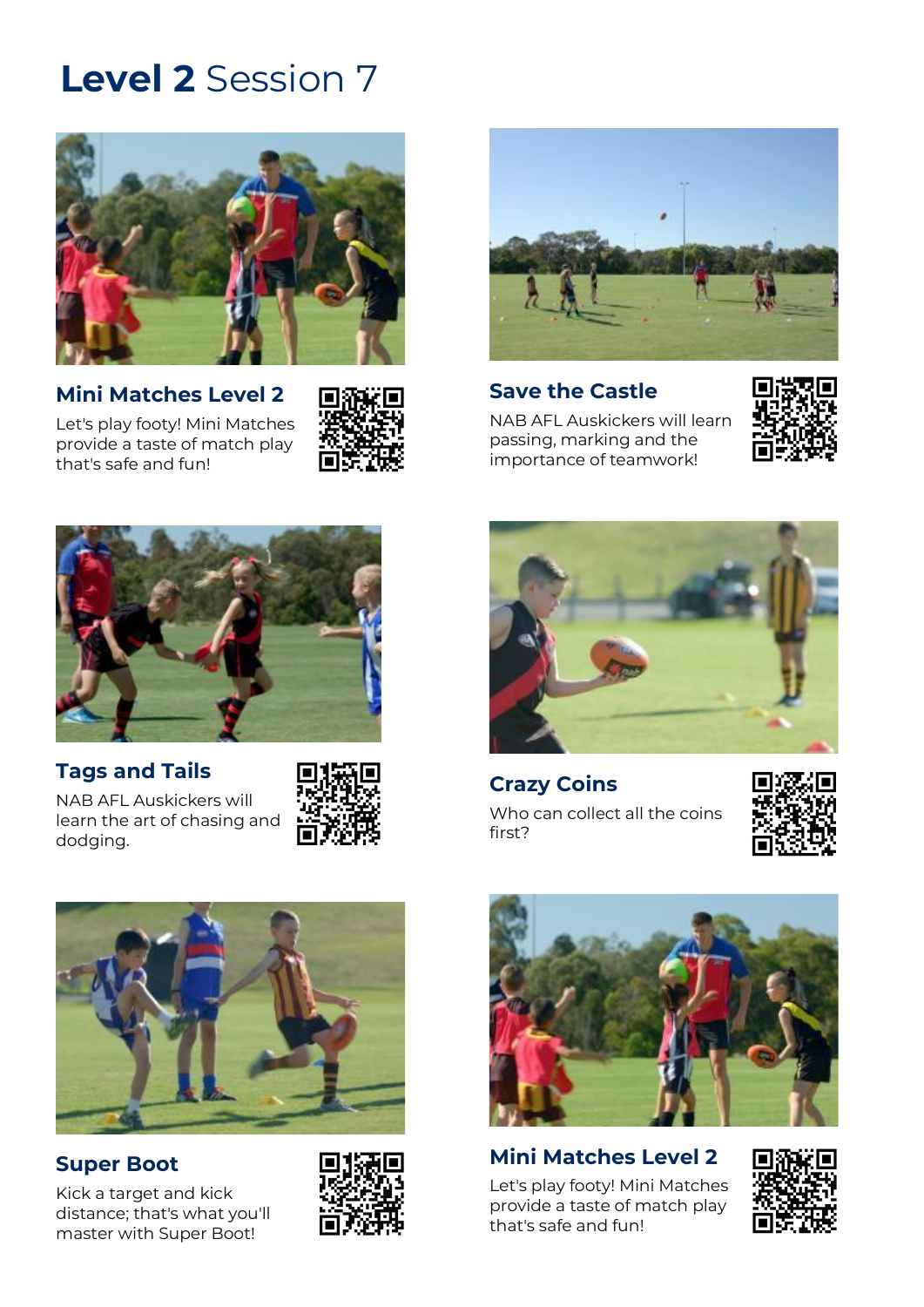

**[Mini Matches Level 2](https://play.afl/auskick/activities/mini-matches-level-2?week=7&level=2)** [Let's play footy! Mini Matches](https://play.afl/auskick/activities/mini-matches-level-2?week=7&level=2)  provide a [taste of match play](https://play.afl/auskick/activities/mini-matches-level-2?week=7&level=2)  that's [safe and fun!](https://play.afl/auskick/activities/mini-matches-level-2?week=7&level=2)





**[Save the Castle](https://play.afl/auskick/activities/save-castle?week=7&level=2)** [NAB AFL Auskickers will learn](https://play.afl/auskick/activities/save-castle?week=7&level=2)  [passing, marking and the](https://play.afl/auskick/activities/save-castle?week=7&level=2)  [importance of teamwork!](https://play.afl/auskick/activities/save-castle?week=7&level=2)





### **Tags [and Tails](https://play.afl/auskick/activities/tags-and-tails?week=7&level=2)**

[NAB AFL Auskickers will](https://play.afl/auskick/activities/tags-and-tails?week=7&level=2)  [learn the art of chasing and](https://play.afl/auskick/activities/tags-and-tails?week=7&level=2)  [dodging.](https://play.afl/auskick/activities/tags-and-tails?week=7&level=2)





## **[Super Boot](https://play.afl/auskick/activities/super-boot?week=7&level=2)**

[Kick a target and kick](https://play.afl/auskick/activities/super-boot?week=7&level=2)  [distance; that's what you'll](https://play.afl/auskick/activities/super-boot?week=7&level=2)  [master with Super Boot!](https://play.afl/auskick/activities/super-boot?week=7&level=2)





**[Crazy Coins](https://play.afl/auskick/activities/crazy-coins?week=7&level=2)** [Who can collect all the coins](https://play.afl/auskick/activities/crazy-coins?week=7&level=2)  [first?](https://play.afl/auskick/activities/crazy-coins?week=7&level=2)





**[Mini Matches Level 2](https://play.afl/auskick/activities/mini-matches-level-2?week=7&level=2)** [Let's play footy! Mini Matches](https://play.afl/auskick/activities/mini-matches-level-2?week=7&level=2)  provide a [taste of match play](https://play.afl/auskick/activities/mini-matches-level-2?week=7&level=2) 

that's [safe and fun!](https://play.afl/auskick/activities/mini-matches-level-2?week=7&level=2)

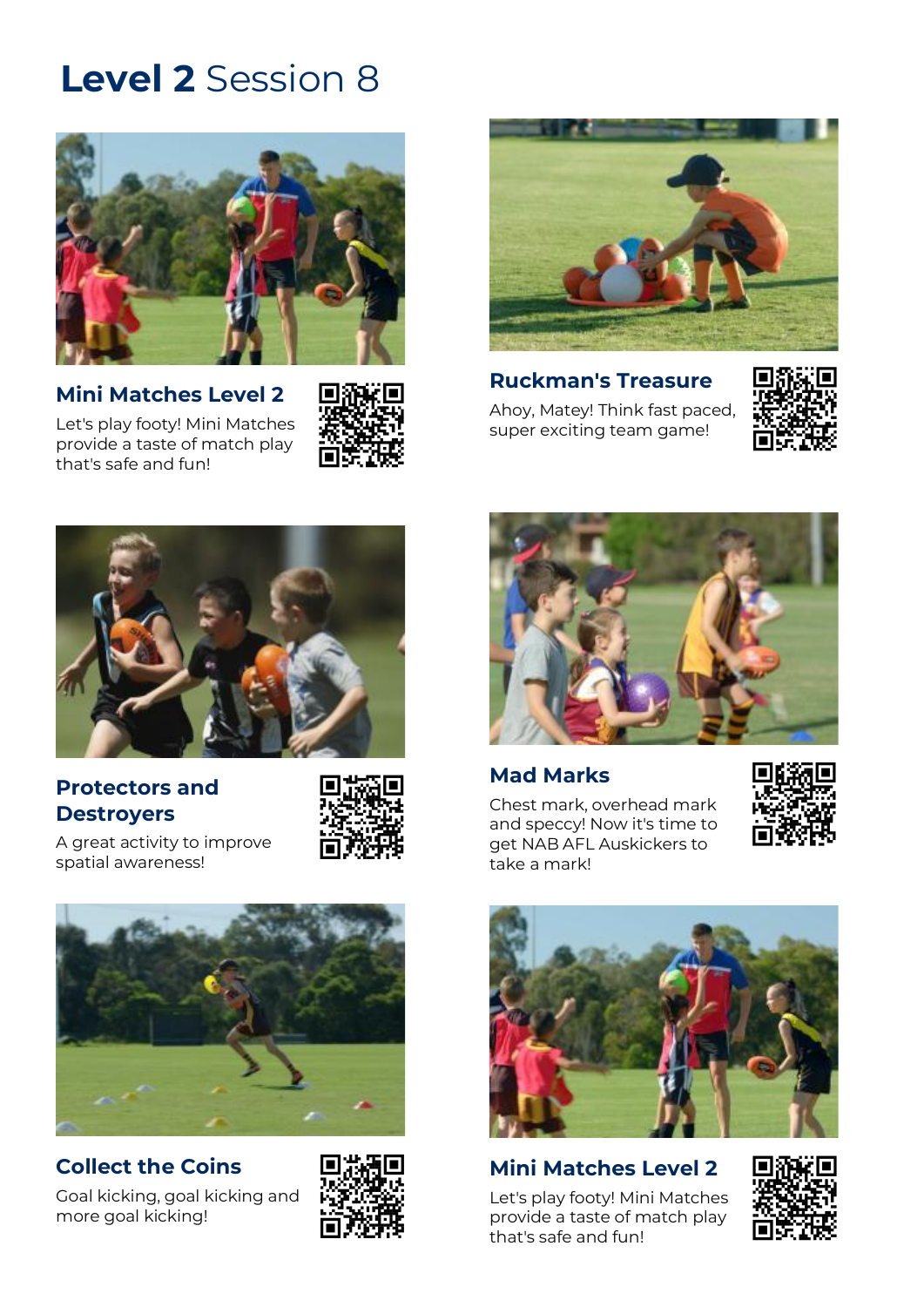

**[Mini Matches Level 2](https://play.afl/auskick/activities/mini-matches-level-2?week=8&level=2)** [Let's play footy! Mini Matches](https://play.afl/auskick/activities/mini-matches-level-2?week=8&level=2)  provide a [taste of match play](https://play.afl/auskick/activities/mini-matches-level-2?week=8&level=2) 

that's [safe and fun!](https://play.afl/auskick/activities/mini-matches-level-2?week=8&level=2)





**[Ruckman's Treasure](https://play.afl/auskick/activities/ruckmans-treasure?week=8&level=2)** [Ahoy, Matey! Think fast paced,](https://play.afl/auskick/activities/ruckmans-treasure?week=8&level=2)  [super exciting team game!](https://play.afl/auskick/activities/ruckmans-treasure?week=8&level=2)





## **[Protectors and](https://play.afl/auskick/activities/protectors-and-destroyers?week=8&level=2)  [Destroyers](https://play.afl/auskick/activities/protectors-and-destroyers?week=8&level=2)**



[A great activity to improve](https://play.afl/auskick/activities/protectors-and-destroyers?week=8&level=2)  [spatial awareness!](https://play.afl/auskick/activities/protectors-and-destroyers?week=8&level=2)



## **[Collect the Coins](https://play.afl/auskick/activities/collect-coins?week=8&level=2)**

[Goal kicking, goal kicking and](https://play.afl/auskick/activities/collect-coins?week=8&level=2)  [more goal kicking!](https://play.afl/auskick/activities/collect-coins?week=8&level=2)





### **[Mad Marks](https://play.afl/auskick/activities/mad-marks?week=8&level=2)**

[Chest mark, overhead mark](https://play.afl/auskick/activities/mad-marks?week=8&level=2)  [and speccy! Now it's time to](https://play.afl/auskick/activities/mad-marks?week=8&level=2)  [get NAB AFL Auskickers to](https://play.afl/auskick/activities/mad-marks?week=8&level=2)  [take a mark!](https://play.afl/auskick/activities/mad-marks?week=8&level=2)





## **Mini [Matches Level 2](https://play.afl/auskick/activities/mini-matches-level-2?week=8&level=2)**

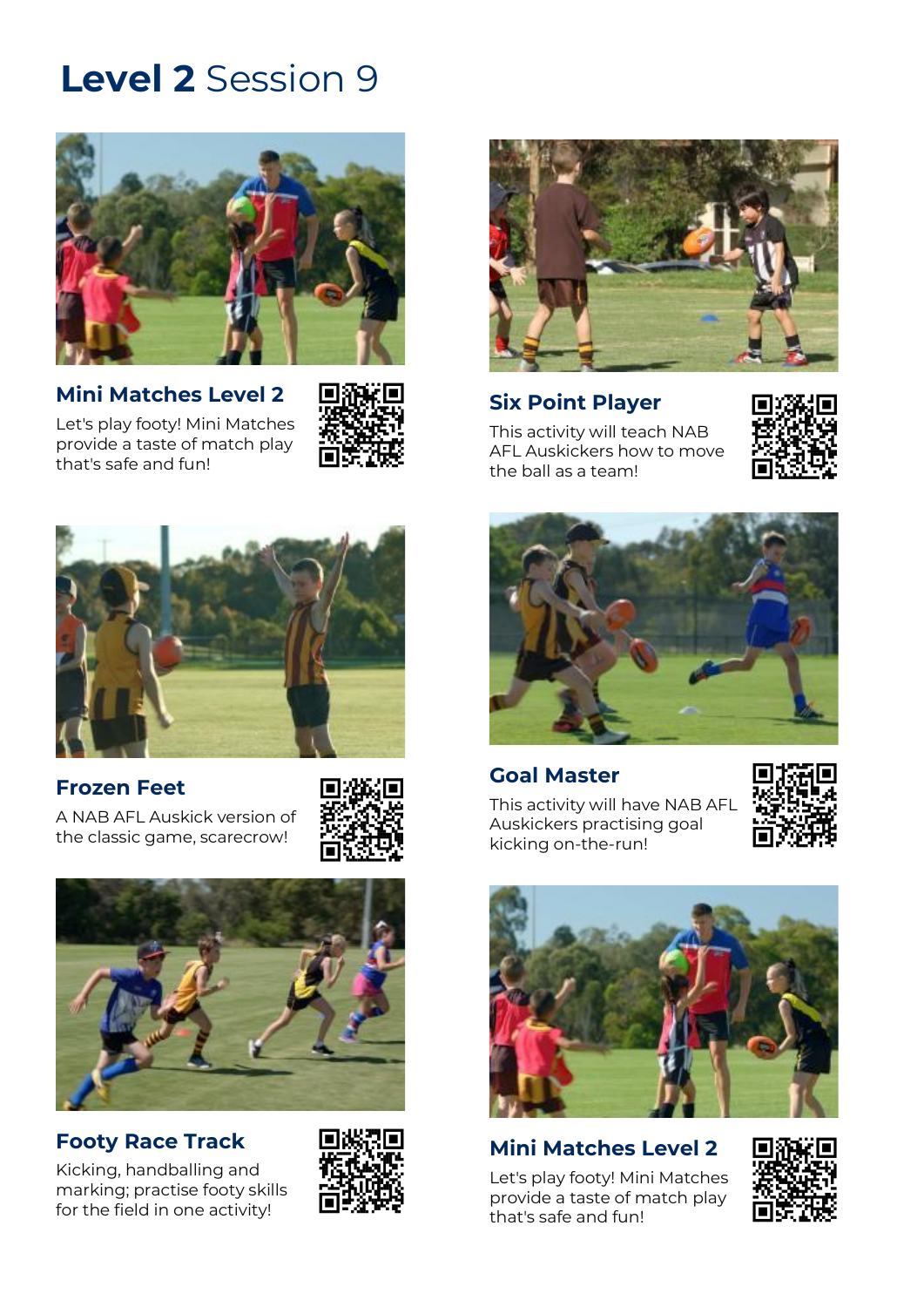

**[Mini Matches Level 2](https://play.afl/auskick/activities/mini-matches-level-2?week=9&level=2)**







## **[Frozen Feet](https://play.afl/auskick/activities/frozen-feet?week=9&level=2)**

[A NAB AFL Auskick version of](https://play.afl/auskick/activities/frozen-feet?week=9&level=2)  [the classic game, scarecrow!](https://play.afl/auskick/activities/frozen-feet?week=9&level=2)





## **[Footy Race Track](https://play.afl/auskick/activities/footy-race-track?week=9&level=2)**

[Kicking, handballing and](https://play.afl/auskick/activities/footy-race-track?week=9&level=2)  [marking; practise footy skills](https://play.afl/auskick/activities/footy-race-track?week=9&level=2)  [for the field in one activity!](https://play.afl/auskick/activities/footy-race-track?week=9&level=2)





## **[Six Point Player](https://play.afl/auskick/activities/six-point-player?week=9&level=2)**

[This activity will teach NAB](https://play.afl/auskick/activities/six-point-player?week=9&level=2)  [AFL Auskickers how to move](https://play.afl/auskick/activities/six-point-player?week=9&level=2)  [the ball as a team!](https://play.afl/auskick/activities/six-point-player?week=9&level=2)





### **[Goal Master](https://play.afl/auskick/activities/goal-master?week=9&level=2)**

[This activity will have NAB AFL](https://play.afl/auskick/activities/goal-master?week=9&level=2)  [Auskickers practising goal](https://play.afl/auskick/activities/goal-master?week=9&level=2)  [kicking on-the-run!](https://play.afl/auskick/activities/goal-master?week=9&level=2)





## **[Mini Matches Level 2](https://play.afl/auskick/activities/mini-matches-level-2?week=9&level=2)**